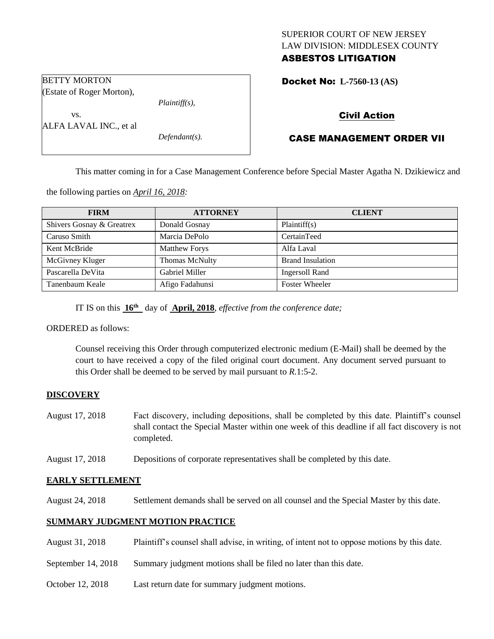## SUPERIOR COURT OF NEW JERSEY LAW DIVISION: MIDDLESEX COUNTY ASBESTOS LITIGATION

Docket No: **L-7560-13 (AS)** 

(Estate of Roger Morton),

ALFA LAVAL INC., et al

BETTY MORTON

vs.

*Plaintiff(s),*

*Defendant(s).*

Civil Action

# CASE MANAGEMENT ORDER VII

This matter coming in for a Case Management Conference before Special Master Agatha N. Dzikiewicz and

the following parties on *April 16, 2018:*

| <b>FIRM</b>               | <b>ATTORNEY</b>      | <b>CLIENT</b>           |
|---------------------------|----------------------|-------------------------|
| Shivers Gosnay & Greatrex | Donald Gosnay        | Plaintiff(s)            |
| Caruso Smith              | Marcia DePolo        | CertainTeed             |
| Kent McBride              | <b>Matthew Forys</b> | Alfa Laval              |
| McGivney Kluger           | Thomas McNulty       | <b>Brand Insulation</b> |
| Pascarella DeVita         | Gabriel Miller       | <b>Ingersoll Rand</b>   |
| Tanenbaum Keale           | Afigo Fadahunsi      | <b>Foster Wheeler</b>   |

IT IS on this **16th** day of **April, 2018**, *effective from the conference date;*

ORDERED as follows:

Counsel receiving this Order through computerized electronic medium (E-Mail) shall be deemed by the court to have received a copy of the filed original court document. Any document served pursuant to this Order shall be deemed to be served by mail pursuant to *R*.1:5-2.

## **DISCOVERY**

- August 17, 2018 Fact discovery, including depositions, shall be completed by this date. Plaintiff's counsel shall contact the Special Master within one week of this deadline if all fact discovery is not completed.
- August 17, 2018 Depositions of corporate representatives shall be completed by this date.

### **EARLY SETTLEMENT**

August 24, 2018 Settlement demands shall be served on all counsel and the Special Master by this date.

## **SUMMARY JUDGMENT MOTION PRACTICE**

- August 31, 2018 Plaintiff's counsel shall advise, in writing, of intent not to oppose motions by this date.
- September 14, 2018 Summary judgment motions shall be filed no later than this date.
- October 12, 2018 Last return date for summary judgment motions.